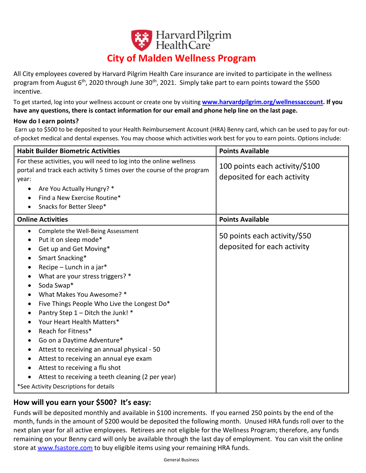# Harvard Pilgrim **City of Malden Wellness Program**

All City employees covered by Harvard Pilgrim Health Care insurance are invited to participate in the wellness program from August 6<sup>th</sup>, 2020 through June 30<sup>th</sup>, 2021. Simply take part to earn points toward the \$500 incentive.

To get started, log into your wellness account or create one by visiting **[www.harvardpilgrim.org/wellnessaccount.](http://www.harvardpilgrim.org/wellnessaccount) If you have any questions, there is contact information for our email and phone help line on the last page.**

#### **How do I earn points?**

Earn up to \$500 to be deposited to your Health Reimbursement Account (HRA) Benny card, which can be used to pay for outof-pocket medical and dental expenses. You may choose which activities work best for you to earn points. Options include:

| <b>Habit Builder Biometric Activities</b>                                                                                                                                                                                                                                                                                                                                                                                                                                                                                                                                                                                                  | <b>Points Available</b>                                       |
|--------------------------------------------------------------------------------------------------------------------------------------------------------------------------------------------------------------------------------------------------------------------------------------------------------------------------------------------------------------------------------------------------------------------------------------------------------------------------------------------------------------------------------------------------------------------------------------------------------------------------------------------|---------------------------------------------------------------|
| For these activities, you will need to log into the online wellness<br>portal and track each activity 5 times over the course of the program<br>year:<br>Are You Actually Hungry? *<br>٠<br>Find a New Exercise Routine*<br>Snacks for Better Sleep*<br>$\bullet$                                                                                                                                                                                                                                                                                                                                                                          | 100 points each activity/\$100<br>deposited for each activity |
| <b>Online Activities</b>                                                                                                                                                                                                                                                                                                                                                                                                                                                                                                                                                                                                                   | <b>Points Available</b>                                       |
| Complete the Well-Being Assessment<br>$\bullet$<br>Put it on sleep mode*<br>Get up and Get Moving*<br>Smart Snacking*<br>Recipe - Lunch in a jar*<br>٠<br>What are your stress triggers? *<br>Soda Swap*<br>What Makes You Awesome? *<br>Five Things People Who Live the Longest Do*<br>Pantry Step 1 - Ditch the Junk! *<br>Your Heart Health Matters*<br>Reach for Fitness*<br>Go on a Daytime Adventure*<br>٠<br>Attest to receiving an annual physical - 50<br>Attest to receiving an annual eye exam<br>Attest to receiving a flu shot<br>Attest to receiving a teeth cleaning (2 per year)<br>*See Activity Descriptions for details | 50 points each activity/\$50<br>deposited for each activity   |

### **How will you earn your \$500? It's easy:**

Funds will be deposited monthly and available in \$100 increments. If you earned 250 points by the end of the month, funds in the amount of \$200 would be deposited the following month. Unused HRA funds roll over to the next plan year for all active employees. Retirees are not eligible for the Wellness Program; therefore, any funds remaining on your Benny card will only be available through the last day of employment. You can visit the online store at [www.fsastore.com](http://www.fsastore.com/) to buy eligible items using your remaining HRA funds.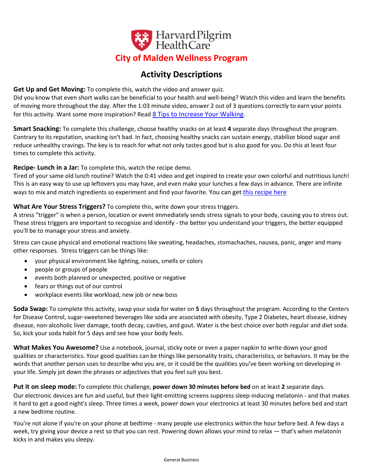

## **Activity Descriptions**

**Get Up and Get Moving:** To complete this, watch the video and answer quiz.

Did you know that even short walks can be beneficial to your health and well-being? Watch this video and learn the benefits of moving more throughout the day. After the 1:03 minute video, answer 2 out of 3 questions correctly to earn your points for this activity. Want some more inspiration? Read [8 Tips to Increase Your Walking](https://de6hrpomfndxh.cloudfront.net/Video+Licensing/10+LIMEADE+GUIDE+Walking.pdf).

**Smart Snacking:** To complete this challenge, choose healthy snacks on at least **4** separate days throughout the program. Contrary to its reputation, snacking isn't bad. In fact, choosing healthy snacks can sustain energy, stabilize blood sugar and reduce unhealthy cravings. The key is to reach for what not only tastes good but is also good for you. Do this at least four times to complete this activity.

#### **Recipe- Lunch in a Jar:** To complete this, watch the recipe demo.

Tired of your same old lunch routine? Watch the 0:41 video and get inspired to create your own colorful and nutritious lunch! This is an easy way to use up leftovers you may have, and even make your lunches a few days in advance. There are infinite ways to mix and match ingredients so experiment and find your favorite. You can get [this recipe here](https://de6hrpomfndxh.cloudfront.net/Video+Licensing/28+LIMEADE+RECIPE+Rainbow+Ready+Lunch.pdf)

#### **What Are Your Stress Triggers?** To complete this, write down your stress triggers.

A stress "trigger" is when a person, location or event immediately sends stress signals to your body, causing you to stress out. These stress triggers are important to recognize and identify - the better you understand your triggers, the better equipped you'll be to manage your stress and anxiety.

Stress can cause physical and emotional reactions like sweating, headaches, stomachaches, nausea, panic, anger and many other responses. Stress triggers can be things like:

- your physical environment like lighting, noises, smells or colors
- people or groups of people
- events both planned or unexpected, positive or negative
- fears or things out of our control
- workplace events like workload, new job or new boss

**Soda Swap:** To complete this activity, swap your soda for water on **5** days throughout the program. According to the Centers for Disease Control, sugar-sweetened beverages like soda are associated with obesity, Type 2 Diabetes, heart disease, kidney disease, non-alcoholic liver damage, tooth decay, cavities, and gout. Water is the best choice over both regular and diet soda. So, kick your soda habit for 5 days and see how your body feels.

**What Makes You Awesome?** Use a notebook, journal, sticky note or even a paper napkin to write down your good qualities or characteristics. Your good qualities can be things like personality traits, characteristics, or behaviors. It may be the words that another person uses to describe who you are, or it could be the qualities you've been working on developing in your life. Simply jot down the phrases or adjectives that you feel suit you best.

**Put it on sleep mode:** To complete this challenge, **power down 30 minutes before bed** on at least **2** separate days. Our electronic devices are fun and useful, but their light-emitting screens suppress sleep-inducing melatonin - and that makes it hard to get a good night's sleep. Three times a week, power down your electronics at least 30 minutes before bed and start a new bedtime routine.

You're not alone if you're on your phone at bedtime - many people use electronics within the hour before bed. A few days a week, try giving your device a rest so that you can rest. Powering down allows your mind to relax — that's when melatonin kicks in and makes you sleepy.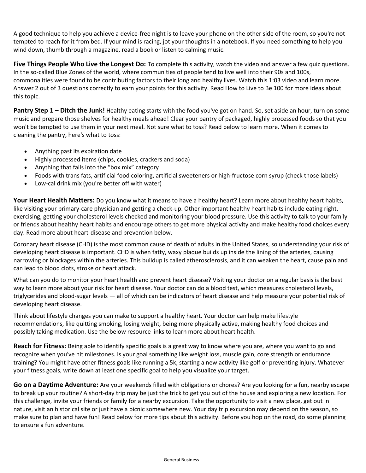A good technique to help you achieve a device-free night is to leave your phone on the other side of the room, so you're not tempted to reach for it from bed. If your mind is racing, jot your thoughts in a notebook. If you need something to help you wind down, thumb through a magazine, read a book or listen to calming music.

**Five Things People Who Live the Longest Do:** To complete this activity, watch the video and answer a few quiz questions. In the so-called Blue Zones of the world, where communities of people tend to live well into their 90s and 100s, commonalities were found to be contributing factors to their long and healthy lives. Watch this 1:03 video and learn more. Answer 2 out of 3 questions correctly to earn your points for this activity. Read [How to Live to Be 100](https://de6hrpomfndxh.cloudfront.net/Video+Licensing/15+LIMEADE+GUIDE+Longevity.pdf) for more ideas about this topic.

**Pantry Step 1 – Ditch the Junk!** Healthy eating starts with the food you've got on hand. So, set aside an hour, turn on some music and prepare those shelves for healthy meals ahead! Clear your pantry of packaged, highly processed foods so that you won't be tempted to use them in your next meal. Not sure what to toss? Read below to learn more. When it comes to cleaning the pantry, here's what to toss:

- Anything past its expiration date
- Highly processed items (chips, cookies, crackers and soda)
- Anything that falls into the "box mix" category
- Foods with trans fats, artificial food coloring, artificial sweeteners or high-fructose corn syrup (check those labels)
- Low-cal drink mix (you're better off with water)

**Your Heart Health Matters:** Do you know what it means to have a healthy heart? Learn more about healthy heart habits, like visiting your primary-care physician and getting a check-up. Other important healthy heart habits include eating right, exercising, getting your cholesterol levels checked and monitoring your blood pressure. Use this activity to talk to your family or friends about healthy heart habits and encourage others to get more physical activity and make healthy food choices every day. Read more about heart-disease and prevention below.

Coronary heart disease (CHD) is the most common cause of death of adults in the United States, so understanding your risk of developing heart disease is important. CHD is when fatty, waxy plaque builds up inside the lining of the arteries, causing narrowing or blockages within the arteries. This buildup is called atherosclerosis, and it can weaken the heart, cause pain and can lead to blood clots, stroke or heart attack.

What can you do to monitor your heart health and prevent heart disease? Visiting your doctor on a regular basis is the best way to learn more about your risk for heart disease. Your doctor can do a blood test, which measures cholesterol levels, triglycerides and blood-sugar levels — all of which can be indicators of heart disease and help measure your potential risk of developing heart disease.

Think about lifestyle changes you can make to support a healthy heart. Your doctor can help make lifestyle recommendations, like quitting smoking, losing weight, being more physically active, making healthy food choices and possibly taking medication. Use the below resource links to learn more about heart health.

**Reach for Fitness:** Being able to identify specific goals is a great way to know where you are, where you want to go and recognize when you've hit milestones. Is your goal something like weight loss, muscle gain, core strength or endurance training? You might have other fitness goals like running a 5k, starting a new activity like golf or preventing injury. Whatever your fitness goals, write down at least one specific goal to help you visualize your target.

**Go on a Daytime Adventure:** Are your weekends filled with obligations or chores? Are you looking for a fun, nearby escape to break up your routine? A short-day trip may be just the trick to get you out of the house and exploring a new location. For this challenge, invite your friends or family for a nearby excursion. Take the opportunity to visit a new place, get out in nature, visit an historical site or just have a picnic somewhere new. Your day trip excursion may depend on the season, so make sure to plan and have fun! Read below for more tips about this activity. Before you hop on the road, do some planning to ensure a fun adventure.